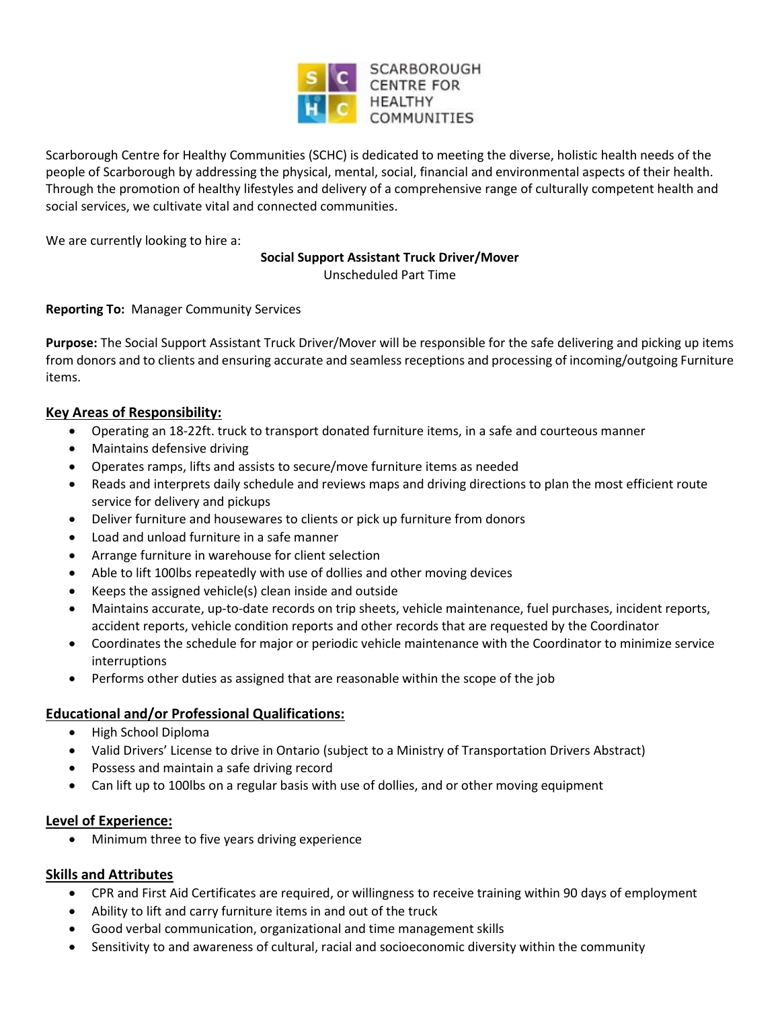

Scarborough Centre for Healthy Communities (SCHC) is dedicated to meeting the diverse, holistic health needs of the people of Scarborough by addressing the physical, mental, social, financial and environmental aspects of their health. Through the promotion of healthy lifestyles and delivery of a comprehensive range of culturally competent health and social services, we cultivate vital and connected communities.

We are currently looking to hire a:

#### **Social Support Assistant Truck Driver/Mover**

Unscheduled Part Time

## **Reporting To:** Manager Community Services

**Purpose:** The Social Support Assistant Truck Driver/Mover will be responsible for the safe delivering and picking up items from donors and to clients and ensuring accurate and seamless receptions and processing of incoming/outgoing Furniture items.

## **Key Areas of Responsibility:**

- Operating an 18-22ft. truck to transport donated furniture items, in a safe and courteous manner
- Maintains defensive driving
- Operates ramps, lifts and assists to secure/move furniture items as needed
- Reads and interprets daily schedule and reviews maps and driving directions to plan the most efficient route service for delivery and pickups
- Deliver furniture and housewares to clients or pick up furniture from donors
- Load and unload furniture in a safe manner
- Arrange furniture in warehouse for client selection
- Able to lift 100lbs repeatedly with use of dollies and other moving devices
- Keeps the assigned vehicle(s) clean inside and outside
- Maintains accurate, up-to-date records on trip sheets, vehicle maintenance, fuel purchases, incident reports, accident reports, vehicle condition reports and other records that are requested by the Coordinator
- Coordinates the schedule for major or periodic vehicle maintenance with the Coordinator to minimize service interruptions
- Performs other duties as assigned that are reasonable within the scope of the job

# **Educational and/or Professional Qualifications:**

- High School Diploma
- Valid Drivers' License to drive in Ontario (subject to a Ministry of Transportation Drivers Abstract)
- Possess and maintain a safe driving record
- Can lift up to 100lbs on a regular basis with use of dollies, and or other moving equipment

## **Level of Experience:**

Minimum three to five years driving experience

## **Skills and Attributes**

- CPR and First Aid Certificates are required, or willingness to receive training within 90 days of employment
- Ability to lift and carry furniture items in and out of the truck
- Good verbal communication, organizational and time management skills
- Sensitivity to and awareness of cultural, racial and socioeconomic diversity within the community